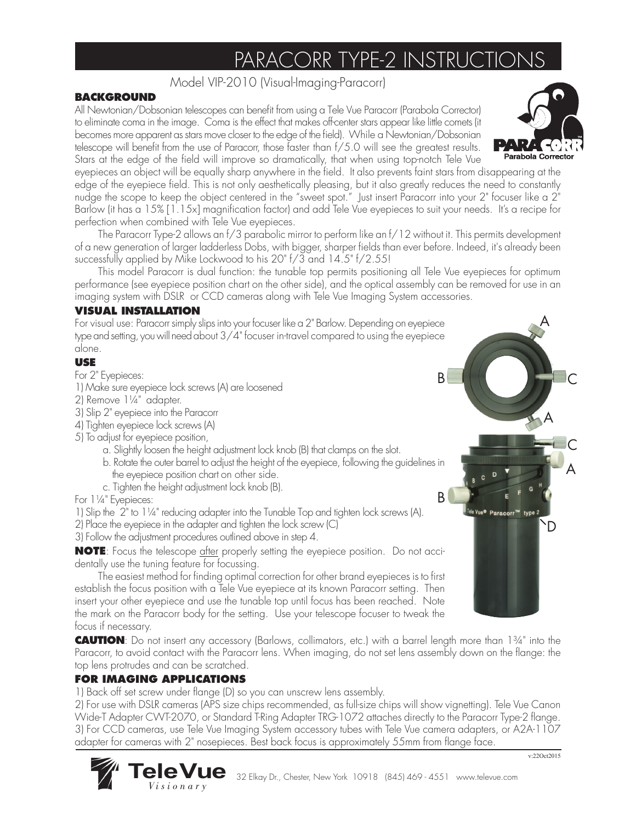# PARACORR TYPE-2 INSTRUCTION

Model VIP-2010 (Visual-Imaging-Paracorr)

#### **BACKGROUND**

All Newtonian/Dobsonian telescopes can benefit from using a Tele Vue Paracorr (Parabola Corrector) to eliminate coma in the image. Coma is the effect that makes off-center stars appear like little comets (it becomes more apparent as stars move closer to the edge of the field). While a Newtonian/Dobsonian telescope will benefit from the use of Paracorr, those faster than f/5.0 will see the greatest results. Stars at the edge of the field will improve so dramatically, that when using top-notch Tele Vue

eyepieces an object will be equally sharp anywhere in the field. It also prevents faint stars from disappearing at the edge of the eyepiece field. This is not only aesthetically pleasing, but it also greatly reduces the need to constantly nudge the scope to keep the object centered in the "sweet spot." Just insert Paracorr into your 2" focuser like a 2" Barlow (it has a 15% [1.15x] magnification factor) and add Tele Vue eyepieces to suit your needs. It's a recipe for perfection when combined with Tele Vue eyepieces.

The Paracorr Type-2 allows an f/3 parabolic mirror to perform like an f/12 without it. This permits development of a new generation of larger ladderless Dobs, with bigger, sharper fields than ever before. Indeed, it's already been successfully applied by Mike Lockwood to his 20" f/3 and 14.5" f/2.55!

This model Paracorr is dual function: the tunable top permits positioning all Tele Vue eyepieces for optimum performance (see eyepiece position chart on the other side), and the optical assembly can be removed for use in an imaging system with DSLR or CCD cameras along with Tele Vue Imaging System accessories.

### **VISUAL INSTALLATION**

For visual use: Paracorr simply slips into your focuser like a 2" Barlow. Depending on eyepiece type and setting, you will need about 3/4" focuser in-travel compared to using the eyepiece alone.

### **USE**

For 2" Eyepieces:

- 1) Make sure eyepiece lock screws (A) are loosened
- 2) Remove 1¼" adapter.
- 3) Slip 2" eyepiece into the Paracorr
- 4) Tighten eyepiece lock screws (A)
- 5) To adjust for eyepiece position,
	- a. Slightly loosen the height adjustment lock knob (B) that clamps on the slot.
	- b. Rotate the outer barrel to adjust the height of the eyepiece, following the guidelines in the eyepiece position chart on other side.
	- c. Tighten the height adjustment lock knob (B).

For 1¼" Eyepieces:

1) Slip the 2" to 1¼" reducing adapter into the Tunable Top and tighten lock screws (A).

- 2) Place the eyepiece in the adapter and tighten the lock screw (C)
- 3) Follow the adjustment procedures outlined above in step 4.

**NOTE**: Focus the telescope after properly setting the eyepiece position. Do not accidentally use the tuning feature for focussing.

The easiest method for finding optimal correction for other brand eyepieces is to first establish the focus position with a Tele Vue eyepiece at its known Paracorr setting. Then insert your other eyepiece and use the tunable top until focus has been reached. Note the mark on the Paracorr body for the setting. Use your telescope focuser to tweak the focus if necessary.

**CAUTION**: Do not insert any accessory (Barlows, collimators, etc.) with a barrel length more than 1¾" into the Paracorr, to avoid contact with the Paracorr lens. When imaging, do not set lens assembly down on the flange: the top lens protrudes and can be scratched.

## **FOR IMAGING APPLICATIONS**

*Visionary*

1) Back off set screw under flange (D) so you can unscrew lens assembly.

2) For use with DSLR cameras (APS size chips recommended, as full-size chips will show vignetting). Tele Vue Canon Wide-T Adapter CWT-2070, or Standard T-Ring Adapter TRG-1072 attaches directly to the Paracorr Type-2 flange. 3) For CCD cameras, use Tele Vue Imaging System accessory tubes with Tele Vue camera adapters, or A2A-1107 adapter for cameras with 2" nosepieces. Best back focus is approximately 55mm from flange face.



A





v:22Oct2015